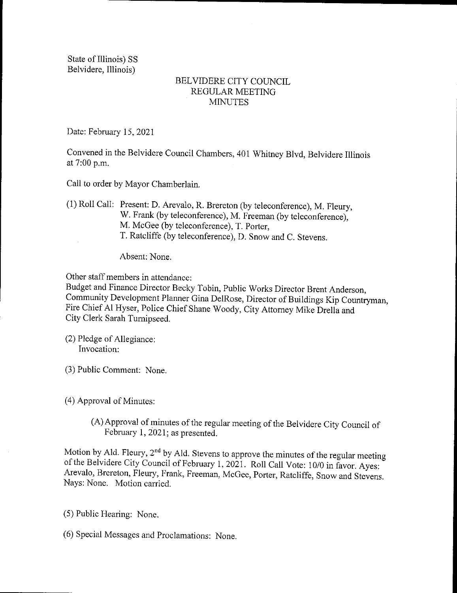State of Illinois) SS Belvidere, Illinois)

## BELVIDERE CITY COUNCIL REGULAR MEETING MINUTES

Date: February 15, 2021

Convened in the Belvidere Council Chambers, 401 Whitney Blvd, Belvidere Illinois at 7:00 p.m.

Call to order by Mayor Chamberlain.

1) Roll Call: Present: D. Arevalo, R. Brereton (by teleconference), M. Fleury, W. Frank (by teleconference), M. Freeman (by teleconference), M. McGee (by teleconference), T. Porter, T. Ratcliffe ( by teleconference), D. Snow and C. Stevens.

Absent: None.

Other staff members in attendance:

Budget and Finance Director Becky Tobin, Public Works Director Brent Anderson, Community Development Planner Gina DelRose, Director of Buildings Kip Countryman, Fire Chief Al Hyser, Police Chief Shane Woody, City Attorney Mike Drella and City Clerk Sarah Turnipseed.

2) Pledge of Allegiance: Invocation:

3) Public Comment: None.

4) Approval of Minutes:

A) Approval of minutes of the regular meeting of the Belvidere City Council of February 1, 2021; as presented.

Motion by Ald. Fleury,  $2<sup>nd</sup>$  by Ald. Stevens to approve the minutes of the regular meeting of the Belvidere City Council of February 1, 2021. Roll Call Vote: 10/0 in favor. Ayes: Arevalo, Brereton, Fleury, Frank, Freeman, McGee, Porter, Ratcliffe, Snow and Stevens. Nays: None. Motion carried.

5) Public Hearing: None.

6) Special Messages and Proclamations: None.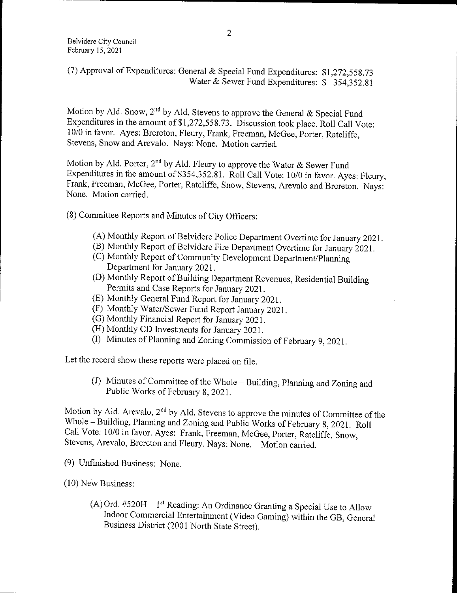(7) Approval of Expenditures: General & Special Fund Expenditures:  $$1,272,558.73$ Water & Sewer Fund Expenditures: \$ 354,352.81

Motion by Ald. Snow, 2<sup>nd</sup> by Ald. Stevens to approve the General & Special Fund Expenditures in the amount of \$1,272,558.73. Discussion took place. Roll Call Vote: 10/0 in favor. Ayes: Brereton, Fleury, Frank, Freeman, McGee, Porter, Ratcliffe, Stevens, Snow and Arevalo. Nays: None. Motion carried.

Motion by Ald. Porter, 2<sup>nd</sup> by Ald. Fleury to approve the Water & Sewer Fund Expenditures in the amount of \$354, 352. 81. Roll Call Vote: 10/0 in favor. Ayes: Fleury, Frank, Freeman, McGee, Porter, Ratcliffe, Snow, Stevens, Arevalo and Brereton. Nays: None. Motion carried.

- 8) Committee Reports and Minutes of City Officers:
	- A) Monthly Report of Belvidere Police Department Overtime for January 2021.
	- B) Monthly Report of Belvidere Fire Department Overtime for January 2021.
	- (C) Monthly Report of Community Development Department/Planning Department for January 2021.
	- D) Monthly Report of Building Department Revenues, Residential Building Permits and Case Reports for January 2021.
	- E) Monthly General Fund Report for January 2021.
	- (F) Monthly Water/Sewer Fund Report January 2021.
	- G) Monthly Financial Report for January 2021.
	- H) Monthly CD Investments for January 2021.
	- I) Minutes of Planning and Zoning Commission of February 9, 2021.

Let the record show these reports were placed on file.

J) Minutes of Committee of the Whole— Building, Planning and Zoning and Public Works of February 8, 2021.

Motion by Ald. Arevalo, 2<sup>nd</sup> by Ald. Stevens to approve the minutes of Committee of the Whole— Building, Planning and Zoning and Public Works of February 8, 2021. Roll Call Vote: 10/0 in favor. Ayes: Frank, Freeman, McGee, Porter, Ratcliffe, Snow, Stevens, Arevalo, Brereton and Fleury. Nays: None. Motion carried.

- 9) Unfinished Business: None.
- 10) New Business:
	- $(A)$  Ord. #520H 1<sup>st</sup> Reading: An Ordinance Granting a Special Use to Allow Indoor Commercial Entertainment ( Video Gaming) within the GB, General Business District (2001 North State Street).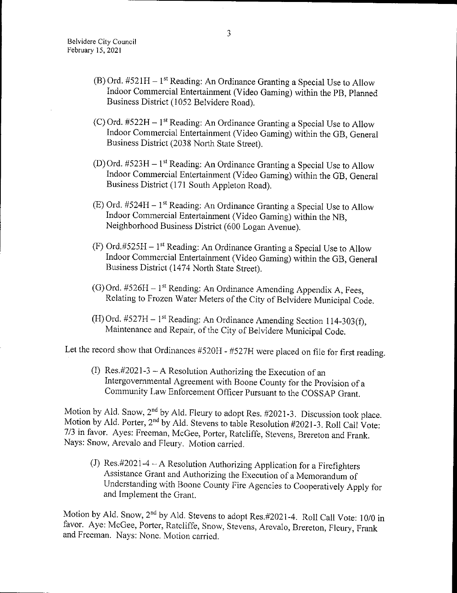- (B) Ord.  $#521H 1$ <sup>st</sup> Reading: An Ordinance Granting a Special Use to Allow Indoor Commercial Entertainment ( Video Gaming) within the PB, Planned Business District ( 1052 Belvidere Road).
- (C) Ord.  $#522H 1$ <sup>st</sup> Reading: An Ordinance Granting a Special Use to Allow Indoor Commercial Entertainment( Video Gaming) within the GB, General Business District (2038 North State Street).
- (D) Ord.  $#523H 1$ <sup>st</sup> Reading: An Ordinance Granting a Special Use to Allow Indoor Commercial Entertainment ( Video Gaming) within the GB, General Business District (171 South Appleton Road).
- (E) Ord.  $#524H 1$ <sup>st</sup> Reading: An Ordinance Granting a Special Use to Allow Indoor Commercial Entertainment ( Video Gaming) within the NB, Neighborhood Business District (600 Logan Avenue).
- (F) Ord.#525H  $-1$ <sup>st</sup> Reading: An Ordinance Granting a Special Use to Allow Indoor Commercial Entertainment( Video Gaming) within the GB, General Business District (1474 North State Street).
- (G) Ord.  $#526H 1$ <sup>st</sup> Reading: An Ordinance Amending Appendix A, Fees, Relating to Frozen Water Meters of the City of Belvidere Municipal Code.
- (H) Ord. #527H 1<sup>st</sup> Reading: An Ordinance Amending Section 114-303(f), Maintenance and Repair, of the City of Belvidere Municipal Code.

Let the record show that Ordinances #520H - #527H were placed on file for first reading.

(I) Res.#2021-3  $-$  A Resolution Authorizing the Execution of an Intergovernmental Agreement with Boone County for the Provision of <sup>a</sup> Community Law Enforcement Officer Pursuant to the COSSAP Grant.

Motion by Ald. Show,  $\angle$  by Ald. Fleury to adopt Res.  $\#2021-3$ . Discussion took place. Motion by Ald. Porter,  $2^m$  by Ald. Stevens to table Resolution #2021-3. Roll Call Vote: 7/3 in favor. Ayes: Freeman, McGee, Porter, Ratcliffe, Stevens, Brereton and Frank. Nays: Snow, Arevalo and Fleury. Motion carried.

(J) Res.  $\#2021-4 - A$  Resolution Authorizing Application for a Firefighters Assistance Grant and Authorizing the Execution of a Memorandum of Understanding with Boone County Fire Agencies to Cooperatively Apply for and Implement the Grant.

Motion by Ald. Snow, 2<sup>nd</sup> by Ald. Stevens to adopt Res.#2021-4. Roll Call Vote: 10/0 in favor. Aye: McGee, Porter, Ratcliffe, Snow, Stevens, Arevalo, Brereton, Fleury, Frank and Freeman. Nays: None. Motion carried.